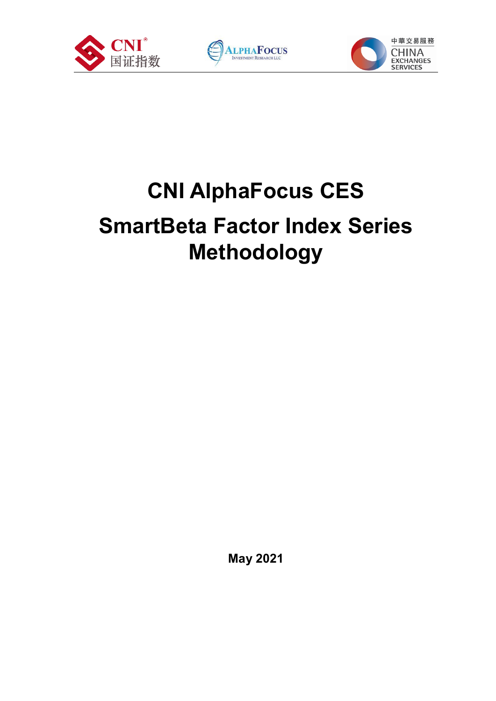





# **CNI AlphaFocus CES SmartBeta Factor Index Series Methodology**

**May 2021**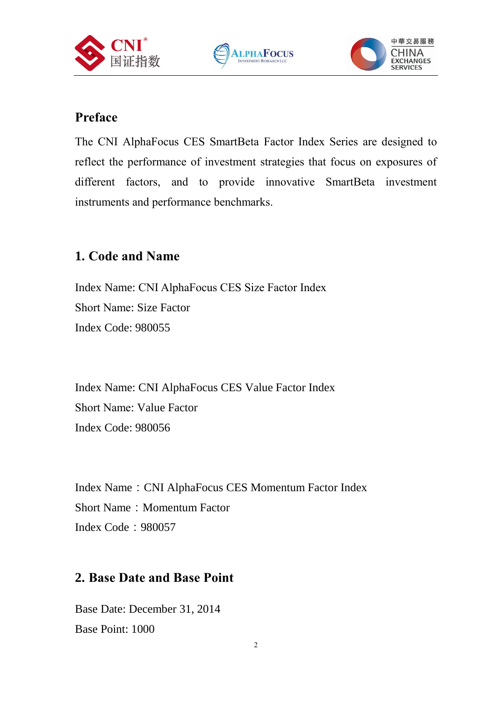





#### **Preface**

The CNI AlphaFocus CES SmartBeta Factor Index Series are designed to reflect the performance of investment strategies that focus on exposures of different factors, and to provide innovative SmartBeta investment instruments and performance benchmarks.

### **1. Code and Name**

Index Name: CNI AlphaFocus CES Size Factor Index Short Name: Size Factor Index Code: 980055

Index Name: CNI AlphaFocus CES Value Factor Index Short Name: Value Factor Index Code: 980056

Index Name: CNI AlphaFocus CES Momentum Factor Index Short Name: Momentum Factor Index Code:980057

#### **2. Base Date and Base Point**

Base Date: December 31, 2014 Base Point: 1000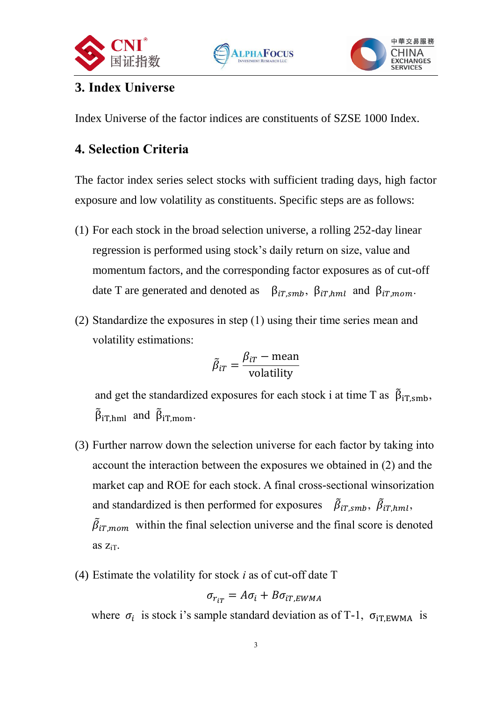





# **3. Index Universe**

Index Universe of the factor indices are constituents of SZSE 1000 Index.

## **4. Selection Criteria**

The factor index series select stocks with sufficient trading days, high factor exposure and low volatility as constituents. Specific steps are as follows:

- (1) For each stock in the broad selection universe, a rolling 252-day linear regression is performed using stock's daily return on size, value and momentum factors, and the corresponding factor exposures as of cut-off date T are generated and denoted as  $\beta_{iT,smb}$ ,  $\beta_{iT,hml}$  and  $\beta_{iT,mom}$ .
- (2) Standardize the exposures in step (1) using their time series mean and volatility estimations:

$$
\tilde{\beta}_{iT} = \frac{\beta_{iT} - \text{mean}}{\text{volatility}}
$$

and get the standardized exposures for each stock i at time T as  $\tilde{\beta}_{iT,smb}$ ,  $\tilde{\beta}_{iT, hml}$  and  $\tilde{\beta}_{iT, mom}$ .

- (3) Further narrow down the selection universe for each factor by taking into account the interaction between the exposures we obtained in (2) and the market cap and ROE for each stock. A final cross-sectional winsorization and standardized is then performed for exposures  $\vec{\beta}_{iT,smb}$ ,  $\vec{\beta}_{iT,hml}$ ,  $\tilde{\beta}_{iT,mom}$  within the final selection universe and the final score is denoted as  $Z_{iT}$ .
- (4) Estimate the volatility for stock *i* as of cut-off date T

$$
\sigma_{r_{iT}} = A \sigma_i + B \sigma_{iT,EWMA}
$$

where  $\sigma_i$  is stock i's sample standard deviation as of T-1,  $\sigma_{iT,EWMA}$  is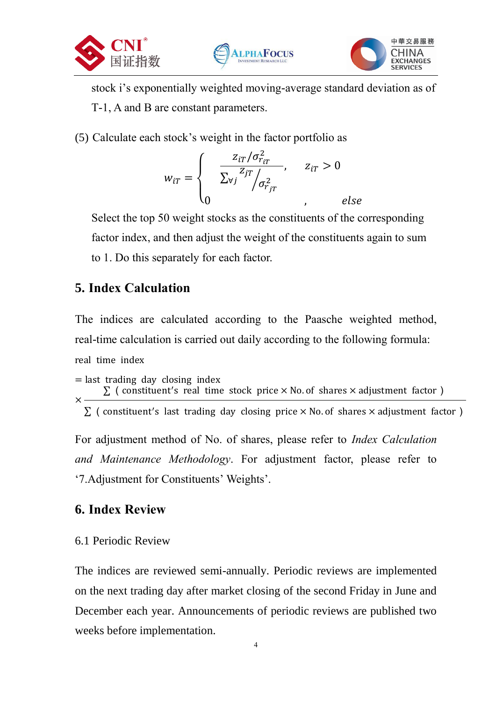





stock i's exponentially weighted moving-average standard deviation as of T-1, A and B are constant parameters.

(5) Calculate each stock's weight in the factor portfolio as

$$
w_{iT} = \begin{cases} \frac{z_{iT}/\sigma_{r_{iT}}^2}{\sum_{\forall j} z_{jT}} & z_{iT} > 0\\ 0 & , \end{cases}
$$

Select the top 50 weight stocks as the constituents of the corresponding factor index, and then adjust the weight of the constituents again to sum to 1. Do this separately for each factor.

### **5. Index Calculation**

The indices are calculated according to the Paasche weighted method, real-time calculation is carried out daily according to the following formula: real time index

 $=$  last trading day closing index ×  $\Sigma$  (constituent's real time stock price  $\times$  No. of shares  $\times$  adjustment factor )

 $\Sigma$  (constituent's last trading day closing price  $\times$  No. of shares  $\times$  adjustment factor)

For adjustment method of No. of shares, please refer to *Index Calculation and Maintenance Methodology*. For adjustment factor, please refer to '7.Adjustment for Constituents' Weights'.

### **6. Index Review**

6.1 Periodic Review

The indices are reviewed semi-annually. Periodic reviews are implemented on the next trading day after market closing of the second Friday in June and December each year. Announcements of periodic reviews are published two weeks before implementation.